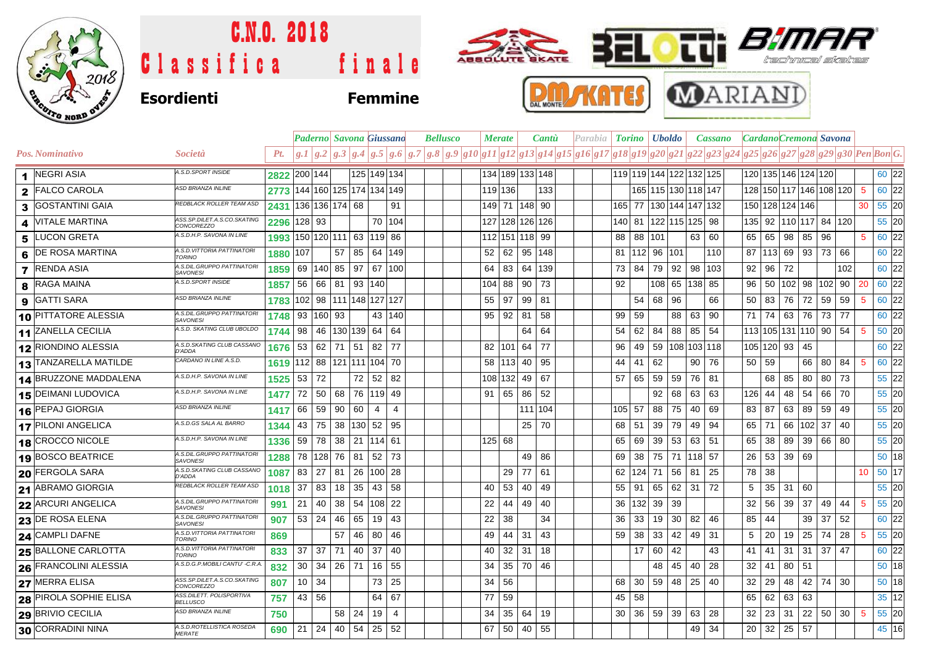

## C.N.O. 2018 **TT** *BIM* Classifica finale technical skol **MARIANI AKATES Esordienti Femmine**

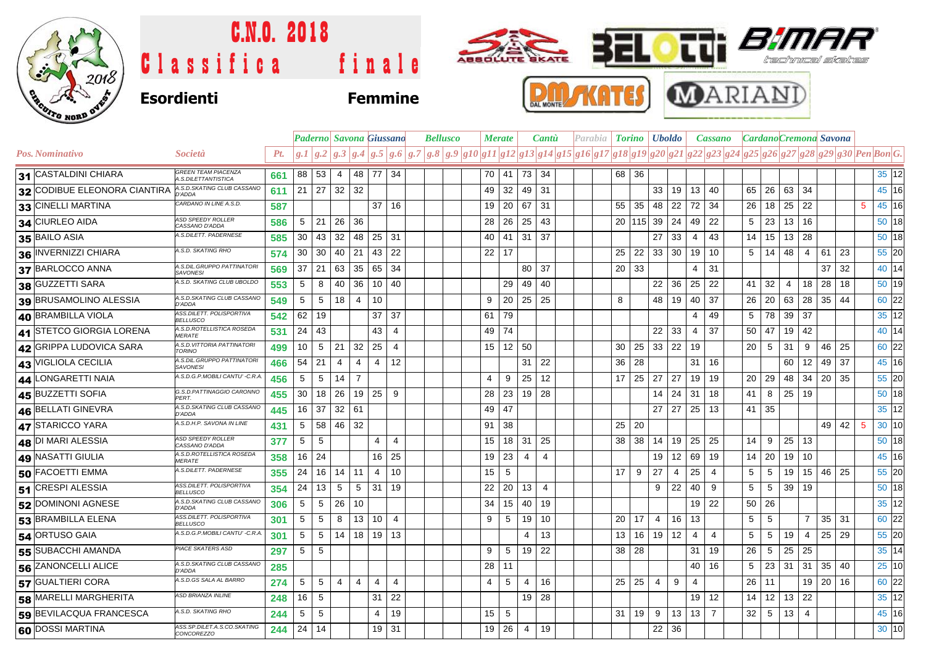

## C.N.O. 2018 Tii *81* **BEL** ABBOLLTE BKATE Classifica finale

# **Esordienti Femmine**





|                              |                                                   |     |                 |                           |                | <b>Paderno</b> Savona Giussano |                 |                   |                                                                                                                                     | <b>Bellusco</b> |  | <b>Merate</b> |    | <b>Cantu</b>       |                |  | Parabia   <b>Torino   Uboldo</b> |                |              |                | <b>Cassano</b> |  | CardanoCremona Savona |     |                 |                |          |              |   |               |
|------------------------------|---------------------------------------------------|-----|-----------------|---------------------------|----------------|--------------------------------|-----------------|-------------------|-------------------------------------------------------------------------------------------------------------------------------------|-----------------|--|---------------|----|--------------------|----------------|--|----------------------------------|----------------|--------------|----------------|----------------|--|-----------------------|-----|-----------------|----------------|----------|--------------|---|---------------|
| Pos. Nominativo              | Società                                           | Pt. |                 |                           |                |                                |                 |                   | $g.1 g.2 g.3 g.4 g.5 g.6 g.7 g.8 g.9 g10 g11 g12 g13 g14 g15 g16 g17 g18 g19 g20 g21 g22 g23 g24 g25 g26 g27 g28 g29 g30 PenBon G.$ |                 |  |               |    |                    |                |  |                                  |                |              |                |                |  |                       |     |                 |                |          |              |   |               |
| 31 CASTALDINI CHIARA         | <b>GREEN TEAM PIACENZA</b><br>A.S.DILETTANTISTICA | 661 |                 | 88 53                     | 4              | 48 77 34                       |                 |                   |                                                                                                                                     |                 |  | 70            | 41 | 73                 | 34             |  | 36<br>68                         |                |              |                |                |  |                       |     |                 |                |          |              |   | 35 12         |
| 32 CODIBUE ELEONORA CIANTIRA | A.S.D.SKATING CLUB CASSANO<br>D'ADDA              | 611 |                 | $21 \mid 27 \mid 32 \mid$ |                | 32                             |                 |                   |                                                                                                                                     |                 |  | 49            | 32 | 49 31              |                |  |                                  | 33             | 19           | 13             | 40             |  | 65                    | 26  | 63 34           |                |          |              |   | 45 16         |
| 33 CINELLI MARTINA           | CARDANO IN LINE A.S.D.                            | 587 |                 |                           |                |                                | 37              | 16                |                                                                                                                                     |                 |  | 19            | 20 | 67                 | 31             |  | 55<br>35                         | 48             | 22           | 72             | 34             |  | 26                    | 18  | 25              | 22             |          |              | 5 | 45 16         |
| 34 CIURLEO AIDA              | <b>ASD SPEEDY ROLLER</b><br>CASSANO D'ADDA        | 586 | 5               | 21                        | 26             | 36                             |                 |                   |                                                                                                                                     |                 |  | 28            | 26 | 25                 | 43             |  | $20$   115                       | 39             | 24           | 49             | 22             |  | 5                     | 23  | 13 <sup>1</sup> | 16             |          |              |   | $50$ 18       |
| 35 BAILO ASIA                | A.S.DILETT. PADERNESE                             | 585 | 30              | 43                        | 32             | 48                             | $25$ 31         |                   |                                                                                                                                     |                 |  | 40            | 41 | $31 \overline{37}$ |                |  |                                  | 27             | 33           | 4              | 43             |  | 14                    | 15  | 13 28           |                |          |              |   | $50$ 18       |
| 36 INVERNIZZI CHIARA         | A.S.D. SKATING RHO                                | 574 | 30              | - 30                      | 40             | 21                             | 43              | 22                |                                                                                                                                     |                 |  | 22            | 17 |                    |                |  | 25<br>22                         |                | $33 \mid 30$ | 19             | 10             |  | 5                     | 14  | 48              | 4              | 61       | 23           |   | 55 20         |
| 37 BARLOCCO ANNA             | A.S.DIL.GRUPPO PATTINATORI<br><b>SAVONESI</b>     | 569 | 37              | 21                        | 63             | 35                             | 65              | -34               |                                                                                                                                     |                 |  |               |    | 80                 | -37            |  | 33<br>20                         |                |              | 4              | 31             |  |                       |     |                 |                | 37       | 32           |   | 40 14         |
| 38 GUZZETTI SARA             | A.S.D. SKATING CLUB UBOLDO                        | 553 | 5               | 8                         | 40             | 36                             | 10              | - 40              |                                                                                                                                     |                 |  |               | 29 | 49                 | 40             |  |                                  | 22             | 36           | 25             | 22             |  | 41                    | 32  | 4               | 18             | 28       | 18           |   | 50 19         |
| 39 BRUSAMOLINO ALESSIA       | A.S.D.SKATING CLUB CASSANO<br>D'ADDA              | 549 | 5               | 5                         | 18             | 4                              | 10              |                   |                                                                                                                                     |                 |  | 9             | 20 | 25                 | 25             |  | 8                                | 48             | 19           | 40             | 37             |  | 26                    | 20  | 63              | 28             | 35       | 44           |   | 60 22         |
| 40 BRAMBILLA VIOLA           | ASS.DILETT. POLISPORTIVA<br><b>BELLUSCO</b>       | 542 |                 | $62$   19                 |                |                                | 37              | 37                |                                                                                                                                     |                 |  | 61            | 79 |                    |                |  |                                  |                |              | 4              | 49             |  | 5                     | 78  | 39              | 37             |          |              |   | 35 12         |
| 41 STETCO GIORGIA LORENA     | A.S.D.ROTELLISTICA ROSEDA<br><b>MERATE</b>        | 531 |                 | $24 \mid 43$              |                |                                | 43              | $\overline{4}$    |                                                                                                                                     |                 |  | 49            | 74 |                    |                |  |                                  | 22             | 33           | 4              | 37             |  | 50                    | 47  | $19$ 42         |                |          |              |   | 40 14         |
| 42 GRIPPA LUDOVICA SARA      | A.S.D. VITTORIA PATTINATORI<br><b>TORINO</b>      | 499 | 10 <sub>1</sub> | -5                        | 21             | 32                             | 25              | 4                 |                                                                                                                                     |                 |  | 15            | 12 | 50                 |                |  | 25<br>30                         | 33             | 22           | 19             |                |  | 20                    | 5   | 31              | 9              | 46       | 25           |   | 60 22         |
| 43 VIGLIOLA CECILIA          | A.S.DIL.GRUPPO PATTINATORI<br><b>SAVONESI</b>     | 466 |                 | $54 \mid 21$              | 4              | 4                              | 4               | $12 \overline{ }$ |                                                                                                                                     |                 |  |               |    | 31                 | 22             |  | 28<br>36                         |                |              | 31             | 16             |  |                       |     | 60              | 12             | 49       | 37           |   | 45 16         |
| 44 LONGARETTI NAIA           | A.S.D.G.P.MOBILI CANTU' -C.R.A                    | 456 | 5               | 5                         | 14             | $\overline{7}$                 |                 |                   |                                                                                                                                     |                 |  | 4             | 9  | 25                 | 12             |  | 17<br>25                         | 27             | 27           | 19             | 19             |  | 20                    | 29  | 48              | 34             |          | $20 \mid 35$ |   | 55 20         |
| 45 BUZZETTI SOFIA            | G.S.D.PATTINAGGIO CARONNO<br><b>PFRT</b>          | 455 | 30              | 18                        | 26             | 19                             | 25              | 9                 |                                                                                                                                     |                 |  | 28            | 23 | 19                 | 28             |  |                                  | 14             | 24           | 31             | 18             |  | 41                    | 8   | $25$ 19         |                |          |              |   | 50 18         |
| 46 BELLATI GINEVRA           | A.S.D. SKATING CLUB CASSANO<br>D'ADDA             | 445 |                 | 16 37                     | 32   61        |                                |                 |                   |                                                                                                                                     |                 |  | 49            | 47 |                    |                |  |                                  | 27             | 27           | 25             | 13             |  | $41 \mid 35$          |     |                 |                |          |              |   | 35 12         |
| 47 STARICCO YARA             | A.S.D.H.P. SAVONA IN LINE                         | 431 | 5               | 58                        | 46 32          |                                |                 |                   |                                                                                                                                     |                 |  | 91            | 38 |                    |                |  | 20<br>25                         |                |              |                |                |  |                       |     |                 |                | 49       | 42 <br>- 5   |   | $30 \vert 10$ |
| 48 DI MARI ALESSIA           | <b>ASD SPEEDY ROLLER</b><br>CASSANO D'ADDA        | 377 | 5               | 5                         |                |                                | 4               | 4                 |                                                                                                                                     |                 |  | 15            | 18 | 31                 | 25             |  | 38<br>38                         | 14             | 19           | 25             | 25             |  | 14                    | 9   | 25              | 13             |          |              |   | $50$ 18       |
| 49 NASATTI GIULIA            | A.S.D.ROTELLISTICA ROSEDA<br><b>MERATE</b>        | 358 |                 | $16$   24                 |                |                                | 16              | 25                |                                                                                                                                     |                 |  | 19            | 23 | 4                  | $\overline{4}$ |  |                                  | 19             | 12           | 69             | 19             |  | 14                    | -20 | 19              | 10             |          |              |   | 45 16         |
| 50 FACOETTI EMMA             | A.S.DILETT. PADERNESE                             | 355 | 24              | 16                        | 14             | 11                             | 4               | 10                |                                                                                                                                     |                 |  | 15            | 5  |                    |                |  | 17<br>9                          | 27             | 4            | 25             | 4              |  | 5                     | 5   | 19              |                | 15 46 25 |              |   | 55 20         |
| 51 CRESPI ALESSIA            | ASS.DILETT. POLISPORTIVA<br><b>BELLUSCO</b>       | 354 | 24              | 13                        | 5              | 5                              | 31              | 19                |                                                                                                                                     |                 |  | 22            | 20 | 13                 | $\overline{4}$ |  |                                  | 9              | 22           | 40             | 9              |  | 5                     | 5   | 39              | 19             |          |              |   | $50$ 18       |
| 52 DOMINONI AGNESE           | A.S.D.SKATING CLUB CASSANO<br>D'ADDA              | 306 | 5               | 5                         | 26             | 10                             |                 |                   |                                                                                                                                     |                 |  | 34            | 15 | 40                 | 19             |  |                                  |                |              | 19             | 22             |  | 50                    | 26  |                 |                |          |              |   | 35 12         |
| 53 BRAMBILLA ELENA           | ASS.DILETT. POLISPORTIVA<br><b>BELLUSCO</b>       | 301 | 5               | 5                         | 8              | 13                             | 10 <sup>1</sup> | $\overline{4}$    |                                                                                                                                     |                 |  | 9             | 5  | 19                 | 10             |  | 20<br>17                         | $\overline{4}$ | 16           | 13             |                |  | 5                     | 5   |                 | $\overline{7}$ |          | $35 \mid 31$ |   | 60 22         |
| 54 ORTUSO GAIA               | A.S.D.G.P.MOBILI CANTU' -C.R.A.                   | 301 | 5               | 5                         | 14             | 18                             | $19$ 13         |                   |                                                                                                                                     |                 |  |               |    | 4                  | 13             |  | 13<br>16                         | 19             | 12           | 4              | 4              |  | 5                     | 5   | 19              | 4              | 25       | 29           |   | 55 20         |
| 55 SUBACCHI AMANDA           | <b>PIACE SKATERS ASD</b>                          | 297 | $5^{\circ}$     | 5                         |                |                                |                 |                   |                                                                                                                                     |                 |  | 9             | 5  | 19                 | 22             |  | $38 \mid 28$                     |                |              | 31             | 19             |  | 26                    | 5   | 25              | 25             |          |              |   | 35 14         |
| 56 ZANONCELLI ALICE          | A.S.D.SKATING CLUB CASSANO<br>D'ADDA              | 285 |                 |                           |                |                                |                 |                   |                                                                                                                                     |                 |  | 28            | 11 |                    |                |  |                                  |                |              | 40             | 16             |  | 5                     | 23  | 31              | 31             | 35       | 40           |   | $25$ 10       |
| 57 GUALTIERI CORA            | A.S.D.GS SALA AL BARRO                            | 274 | 5               | 5                         | $\overline{4}$ | $\overline{4}$                 | $\overline{4}$  | $\overline{4}$    |                                                                                                                                     |                 |  | 4             | 5  | $\overline{4}$     | 16             |  | 25<br>25                         | $\overline{4}$ | 9            | $\overline{4}$ |                |  | 26                    | 11  |                 |                | $19$ 20  | 16           |   | 60 22         |
| <b>58 MARELLI MARGHERITA</b> | <b>ASD BRIANZA INLINE</b>                         | 248 | 16              | 5                         |                |                                | 31              | 22                |                                                                                                                                     |                 |  |               |    | 19 <sup>1</sup>    | 28             |  |                                  |                |              | 19             | 12             |  | 14                    | 12  | 13              | 22             |          |              |   | 35 12         |
| 59 BEVILACQUA FRANCESCA      | A.S.D. SKATING RHO                                | 244 | 5               | 5                         |                |                                | 4               | 19                |                                                                                                                                     |                 |  | 15            | 5  |                    |                |  | 19<br>31                         | 9              | 13           | 13             | $\overline{7}$ |  | 32                    | 5   | 13              | $\overline{4}$ |          |              |   | 45 16         |
| 60 DOSSI MARTINA             | ASS.SP.DILET.A.S.CO.SKATING<br><b>CONCOREZZO</b>  | 244 |                 | $24$ 14                   |                |                                | 19              | 31                |                                                                                                                                     |                 |  | 19            | 26 | 4                  | 19             |  |                                  | 22             | 36           |                |                |  |                       |     |                 |                |          |              |   | 30 10         |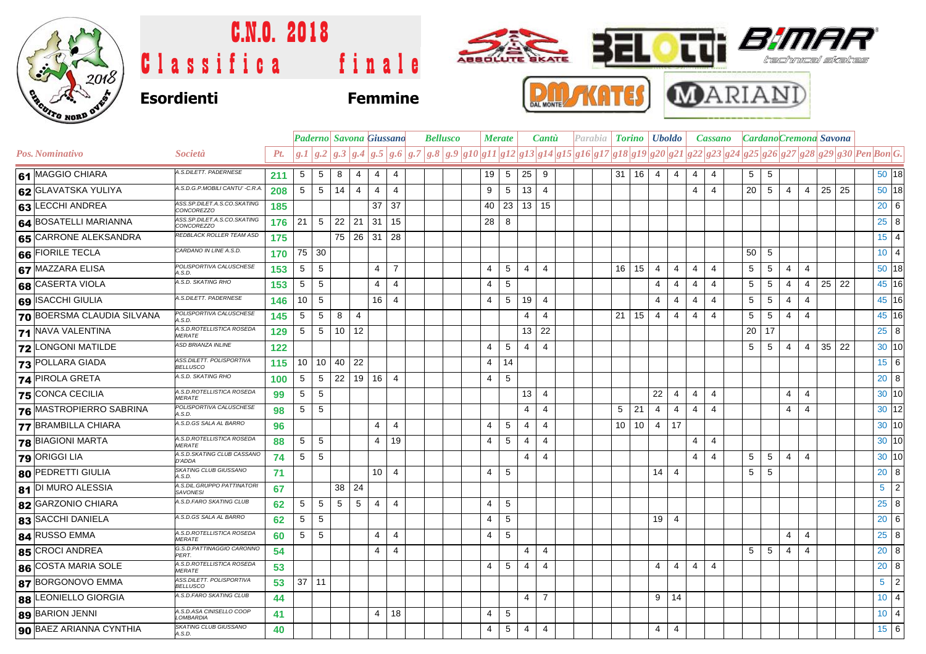

### C.N.O. 2018  $\overline{\mathrm{th}}$   $\overline{\mathrm{B}}$ ABBOLUTE BKATE 32L Classifica finale skultes **MARIANI Esordienti Femmine**





|                            |                                               |     |                 |                 |    |                | Paderno Savona Giussano |                | <b>Bellusco</b> |                                                                                                                                     | <b>Merate</b> |                | Cantu          |  |                 |                     | Parabia <b>Torino Uboldo</b> |                | <b>Cassano</b> |                |  |                 |                 |                |                |    | CardanoCremona Savona |                             |  |
|----------------------------|-----------------------------------------------|-----|-----------------|-----------------|----|----------------|-------------------------|----------------|-----------------|-------------------------------------------------------------------------------------------------------------------------------------|---------------|----------------|----------------|--|-----------------|---------------------|------------------------------|----------------|----------------|----------------|--|-----------------|-----------------|----------------|----------------|----|-----------------------|-----------------------------|--|
| Pos. Nominativo            | <i>Società</i>                                | Pt. |                 |                 |    |                |                         |                |                 | $g.1 g.2 g.3 g.4 g.5 g.6 g.7 g.8 g.9 g10 g11 g12 g13 g14 g15 g16 g17 g18 g19 g20 g21 g22 g23 g24 g25 g26 g27 g28 g29 g30 PenBon G.$ |               |                |                |  |                 |                     |                              |                |                |                |  |                 |                 |                |                |    |                       |                             |  |
| 61 MAGGIO CHIARA           | A.S.DILETT. PADERNESE                         | 211 | $5\phantom{.0}$ | $5\phantom{.0}$ | 8  | 4              | 4                       | $\overline{4}$ |                 | 19                                                                                                                                  | $\sqrt{5}$    | 25             | 9              |  |                 | $31 \mid 16 \mid 4$ |                              | $\overline{4}$ | $\overline{4}$ | $\overline{4}$ |  | $5\phantom{.0}$ | $5\phantom{.0}$ |                |                |    |                       | 50 18                       |  |
| 62 GLAVATSKA YULIYA        | A.S.D.G.P.MOBILI CANTU' -C.R.A                | 208 | $5\phantom{.0}$ | $5\phantom{.0}$ | 14 | $\overline{4}$ | $\overline{4}$          | $\overline{4}$ |                 | 9                                                                                                                                   | $\sqrt{5}$    | 13             | $\overline{4}$ |  |                 |                     |                              |                | $\overline{4}$ | $\overline{4}$ |  | 20              | 5               | $\overline{4}$ | $\overline{4}$ | 25 | 25                    | 50 18                       |  |
| 63 LECCHI ANDREA           | ASS.SP.DILET.A.S.CO.SKATING<br>CONCOREZZO     | 185 |                 |                 |    |                | 37                      | 37             |                 | 40                                                                                                                                  | 23            | 13             | 15             |  |                 |                     |                              |                |                |                |  |                 |                 |                |                |    |                       | $20 \quad 6$                |  |
| 64 BOSATELLI MARIANNA      | ASS.SP.DILET.A.S.CO.SKATING<br>CONCOREZZO     | 176 | 21              | 5               |    | $22 \mid 21$   | 31                      | 15             |                 | 28                                                                                                                                  | 8             |                |                |  |                 |                     |                              |                |                |                |  |                 |                 |                |                |    |                       | $25 \quad 8$                |  |
| 65 CARRONE ALEKSANDRA      | REDBLACK ROLLER TEAM ASD                      | 175 |                 |                 |    | 75 26 31       |                         | 28             |                 |                                                                                                                                     |               |                |                |  |                 |                     |                              |                |                |                |  |                 |                 |                |                |    |                       | $15 \mid 4$                 |  |
| 66 FIORILE TECLA           | CARDANO IN LINE A.S.D.                        | 170 | 75              | $\vert$ 30      |    |                |                         |                |                 |                                                                                                                                     |               |                |                |  |                 |                     |                              |                |                |                |  | 50              | -5              |                |                |    |                       | $10 \quad 4$                |  |
| 67 MAZZARA ELISA           | POLISPORTIVA CALUSCHESE<br>A.S.D.             | 153 | $5\phantom{.0}$ | $5\phantom{.0}$ |    |                | $\overline{4}$          | $\overline{7}$ |                 | 4                                                                                                                                   | 5             | $\overline{4}$ | $\overline{4}$ |  | 16              | 15                  | $\overline{4}$               | $\overline{4}$ | 4              | $\overline{4}$ |  | 5               | 5               | $\overline{4}$ | $\overline{4}$ |    |                       | 50 18                       |  |
| 68 CASERTA VIOLA           | A.S.D. SKATING RHO                            | 153 | $\overline{5}$  | $5\phantom{.0}$ |    |                | $\overline{4}$          | $\overline{4}$ |                 | 4                                                                                                                                   | $\sqrt{5}$    |                |                |  |                 |                     | $\overline{4}$               | $\overline{4}$ | 4              | 4              |  | 5               | 5               | $\overline{4}$ | $\overline{4}$ | 25 | 22                    | 45 16                       |  |
| 69 ISACCHI GIULIA          | A.S.DILETT. PADERNESE                         | 146 | 10              | 5               |    |                | 16                      | $\overline{4}$ |                 | 4                                                                                                                                   | 5             | 19             | $\overline{4}$ |  |                 |                     | $\overline{4}$               | 4              | $\overline{4}$ | 4              |  | 5               | 5               | 4              | $\overline{4}$ |    |                       | 45 16                       |  |
| 70 BOERSMA CLAUDIA SILVANA | POLISPORTIVA CALUSCHESE<br>A.S.D.             | 145 | 5               | $5\phantom{.0}$ | 8  | $\overline{4}$ |                         |                |                 |                                                                                                                                     |               | $\overline{4}$ | $\overline{4}$ |  | 21 <sup>1</sup> | 15                  | $\overline{4}$               | $\overline{4}$ | $\overline{4}$ | $\overline{4}$ |  | 5               | 5               | $\overline{4}$ | $\overline{4}$ |    |                       | 45 16                       |  |
| <b>71 NAVA VALENTINA</b>   | A.S.D.ROTELLISTICA ROSEDA<br><b>MERATE</b>    | 129 | 5               | $5\phantom{.0}$ |    | 10 12          |                         |                |                 |                                                                                                                                     |               |                | $13$ 22        |  |                 |                     |                              |                |                |                |  | 20              | 17              |                |                |    |                       | $25 \quad 8$                |  |
| <b>72 LONGONI MATILDE</b>  | <b>ASD BRIANZA INLINE</b>                     | 122 |                 |                 |    |                |                         |                |                 | 4                                                                                                                                   | 5             | $\overline{4}$ | $\overline{4}$ |  |                 |                     |                              |                |                |                |  | 5               | 5               | $\overline{4}$ | $\overline{4}$ |    | $35$ 22               | 30 10                       |  |
| 73 POLLARA GIADA           | ASS.DILETT. POLISPORTIVA<br><b>BELLUSCO</b>   | 115 | 10              |                 |    | 10   40   22   |                         |                |                 | 4                                                                                                                                   | 14            |                |                |  |                 |                     |                              |                |                |                |  |                 |                 |                |                |    |                       | $15 \quad 6$                |  |
| 74 PIROLA GRETA            | A.S.D. SKATING RHO                            | 100 | 5               | 5               |    | $22$   19   16 |                         | $\overline{4}$ |                 | 4                                                                                                                                   | 5             |                |                |  |                 |                     |                              |                |                |                |  |                 |                 |                |                |    |                       | 20 8                        |  |
| 75 CONCA CECILIA           | A.S.D.ROTELLISTICA ROSEDA<br><b>MERATE</b>    | 99  | 5               | 5               |    |                |                         |                |                 |                                                                                                                                     |               | 13             | $\overline{4}$ |  |                 |                     | 22                           | $\overline{4}$ | 4              | $\overline{4}$ |  |                 |                 | 4              | $\overline{4}$ |    |                       | 30 10                       |  |
| 76 MASTROPIERRO SABRINA    | POLISPORTIVA CALUSCHESE<br>A.S.D.             | 98  | 5               | 5               |    |                |                         |                |                 |                                                                                                                                     |               | 4              | 4              |  | 5               | 21                  | $\overline{4}$               | $\overline{4}$ | $\overline{4}$ | 4              |  |                 |                 | 4              | $\overline{4}$ |    |                       | 30 12                       |  |
| 77 BRAMBILLA CHIARA        | A.S.D.GS SALA AL BARRO                        | 96  |                 |                 |    |                | $\overline{4}$          | $\overline{4}$ |                 | 4                                                                                                                                   | 5             | 4              | $\overline{4}$ |  |                 | $10$ 10             | 4                            | 17             |                |                |  |                 |                 |                |                |    |                       | 30 10                       |  |
| <b>78 BIAGIONI MARTA</b>   | A.S.D.ROTELLISTICA ROSEDA<br><i>MERATE</i>    | 88  | $5\phantom{.0}$ | $5\phantom{.0}$ |    |                | $\overline{4}$          | 19             |                 | 4                                                                                                                                   | 5             | 4              | 4              |  |                 |                     |                              |                | $\overline{4}$ | 4              |  |                 |                 |                |                |    |                       | 30 10                       |  |
| 79 ORIGGI LIA              | A.S.D.SKATING CLUB CASSANO<br>D'ADDA          | 74  | $5\phantom{.0}$ | $5\phantom{.0}$ |    |                |                         |                |                 |                                                                                                                                     |               | $\overline{4}$ | 4              |  |                 |                     |                              |                | $\overline{4}$ | 4              |  | 5               | 5               | 4              | $\overline{4}$ |    |                       | 30 10                       |  |
| 80 PEDRETTI GIULIA         | SKATING CLUB GIUSSANO<br>A.S.D.               | 71  |                 |                 |    |                | 10 <sup>1</sup>         | $\overline{4}$ |                 | 4                                                                                                                                   | 5             |                |                |  |                 |                     | 14                           | $\overline{4}$ |                |                |  | 5               | 5               |                |                |    |                       | $20 \quad 8$                |  |
| 81 DI MURO ALESSIA         | A.S.DIL.GRUPPO PATTINATORI<br><b>SAVONESI</b> | 67  |                 |                 | 38 | 24             |                         |                |                 |                                                                                                                                     |               |                |                |  |                 |                     |                              |                |                |                |  |                 |                 |                |                |    |                       | $5 \mid 2$                  |  |
| 82 GARZONIO CHIARA         | A.S.D.FARO SKATING CLUB                       | 62  | 5               | 5               | 5  | 5              | 4                       | $\overline{4}$ |                 | 4                                                                                                                                   | 5             |                |                |  |                 |                     |                              |                |                |                |  |                 |                 |                |                |    |                       | $25 \quad 8$                |  |
| 83 SACCHI DANIELA          | A.S.D.GS SALA AL BARRO                        | 62  | 5               | 5               |    |                |                         |                |                 | $\overline{4}$                                                                                                                      | 5             |                |                |  |                 |                     | 19                           | $\overline{4}$ |                |                |  |                 |                 |                |                |    |                       | $20 \quad 6$                |  |
| 84 RUSSO EMMA              | A.S.D.ROTELLISTICA ROSEDA<br><i>MERATE</i>    | 60  | 5               | 5               |    |                | $\overline{4}$          | $\overline{4}$ |                 | 4                                                                                                                                   | 5             |                |                |  |                 |                     |                              |                |                |                |  |                 |                 | 4              | $\overline{4}$ |    |                       | $25 \quad 8$                |  |
| <b>85 CROCI ANDREA</b>     | G.S.D.PATTINAGGIO CARONNO<br>PERT.            | 54  |                 |                 |    |                | $\overline{4}$          | $\overline{4}$ |                 |                                                                                                                                     |               | $\overline{4}$ | $\overline{4}$ |  |                 |                     |                              |                |                |                |  | 5               | 5               | $\overline{4}$ | $\overline{4}$ |    |                       | $20 \quad 8$                |  |
| 86 COSTA MARIA SOLE        | A.S.D.ROTELLISTICA ROSEDA<br><b>MERATE</b>    | 53  |                 |                 |    |                |                         |                |                 | 4                                                                                                                                   | 5             | 4              | $\overline{4}$ |  |                 |                     | $\overline{4}$               | $\overline{4}$ | $\overline{4}$ | 4              |  |                 |                 |                |                |    |                       | $20 \quad 8$                |  |
| 87 BORGONOVO EMMA          | ASS.DILETT. POLISPORTIVA<br><b>BELLUSCO</b>   | 53  | 37              | $\vert$ 11      |    |                |                         |                |                 |                                                                                                                                     |               |                |                |  |                 |                     |                              |                |                |                |  |                 |                 |                |                |    |                       | $\vert$ 2<br>5 <sup>5</sup> |  |
| 88 LEONIELLO GIORGIA       | A.S.D.FARO SKATING CLUB                       | 44  |                 |                 |    |                |                         |                |                 |                                                                                                                                     |               | 4              | $\overline{7}$ |  |                 |                     | 9                            | 14             |                |                |  |                 |                 |                |                |    |                       | $10 \mid 4$                 |  |
| 89 BARION JENNI            | A.S.D.ASA CINISELLO COOP<br>LOMBARDIA         | 41  |                 |                 |    |                | $\overline{4}$          | 18             |                 | 4                                                                                                                                   | 5             |                |                |  |                 |                     |                              |                |                |                |  |                 |                 |                |                |    |                       | 10 <sup>1</sup>             |  |
| 90 BAEZ ARIANNA CYNTHIA    | SKATING CLUB GIUSSANO<br>A.S.D.               | 40  |                 |                 |    |                |                         |                |                 | 4                                                                                                                                   | 5             | $\overline{4}$ | 4              |  |                 |                     | 4                            | 4              |                |                |  |                 |                 |                |                |    |                       | $15 \vert 6$                |  |